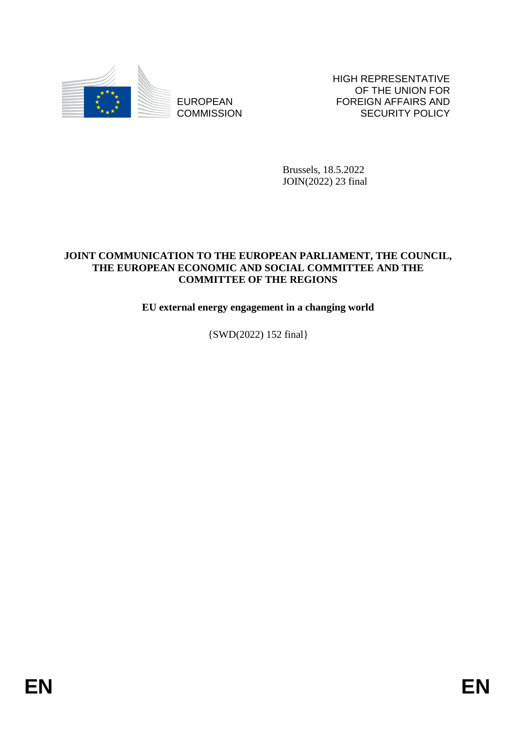

EUROPEAN **COMMISSION**  HIGH REPRESENTATIVE OF THE UNION FOR FOREIGN AFFAIRS AND SECURITY POLICY

Brussels, 18.5.2022 JOIN(2022) 23 final

#### **JOINT COMMUNICATION TO THE EUROPEAN PARLIAMENT, THE COUNCIL, THE EUROPEAN ECONOMIC AND SOCIAL COMMITTEE AND THE COMMITTEE OF THE REGIONS**

**EU external energy engagement in a changing world**

{SWD(2022) 152 final}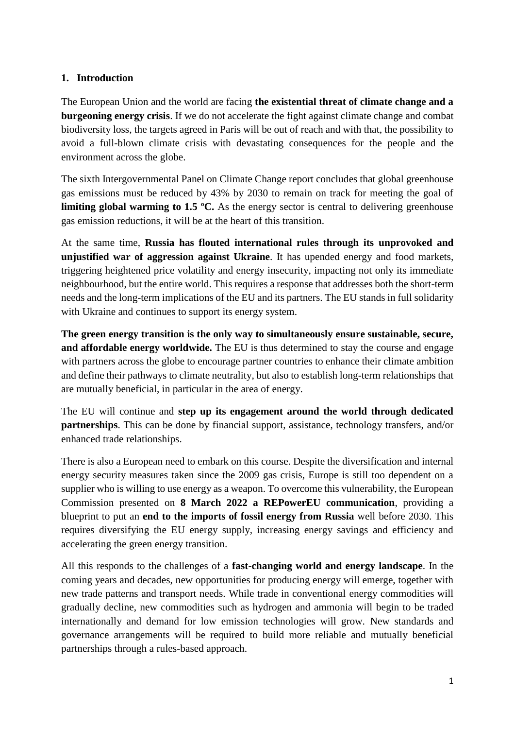#### **1. Introduction**

The European Union and the world are facing **the existential threat of climate change and a burgeoning energy crisis**. If we do not accelerate the fight against climate change and combat biodiversity loss, the targets agreed in Paris will be out of reach and with that, the possibility to avoid a full-blown climate crisis with devastating consequences for the people and the environment across the globe.

The sixth Intergovernmental Panel on Climate Change report concludes that global greenhouse gas emissions must be reduced by 43% by 2030 to remain on track for meeting the goal of **limiting global warming to 1.5 °C.** As the energy sector is central to delivering greenhouse gas emission reductions, it will be at the heart of this transition.

At the same time, **Russia has flouted international rules through its unprovoked and unjustified war of aggression against Ukraine**. It has upended energy and food markets, triggering heightened price volatility and energy insecurity, impacting not only its immediate neighbourhood, but the entire world. This requires a response that addresses both the short-term needs and the long-term implications of the EU and its partners. The EU stands in full solidarity with Ukraine and continues to support its energy system.

**The green energy transition is the only way to simultaneously ensure sustainable, secure, and affordable energy worldwide.** The EU is thus determined to stay the course and engage with partners across the globe to encourage partner countries to enhance their climate ambition and define their pathways to climate neutrality, but also to establish long-term relationships that are mutually beneficial, in particular in the area of energy.

The EU will continue and **step up its engagement around the world through dedicated partnerships**. This can be done by financial support, assistance, technology transfers, and/or enhanced trade relationships.

There is also a European need to embark on this course. Despite the diversification and internal energy security measures taken since the 2009 gas crisis, Europe is still too dependent on a supplier who is willing to use energy as a weapon. To overcome this vulnerability, the European Commission presented on **8 March 2022 a REPowerEU communication**, providing a blueprint to put an **end to the imports of fossil energy from Russia** well before 2030. This requires diversifying the EU energy supply, increasing energy savings and efficiency and accelerating the green energy transition.

All this responds to the challenges of a **fast-changing world and energy landscape**. In the coming years and decades, new opportunities for producing energy will emerge, together with new trade patterns and transport needs. While trade in conventional energy commodities will gradually decline, new commodities such as hydrogen and ammonia will begin to be traded internationally and demand for low emission technologies will grow. New standards and governance arrangements will be required to build more reliable and mutually beneficial partnerships through a rules-based approach.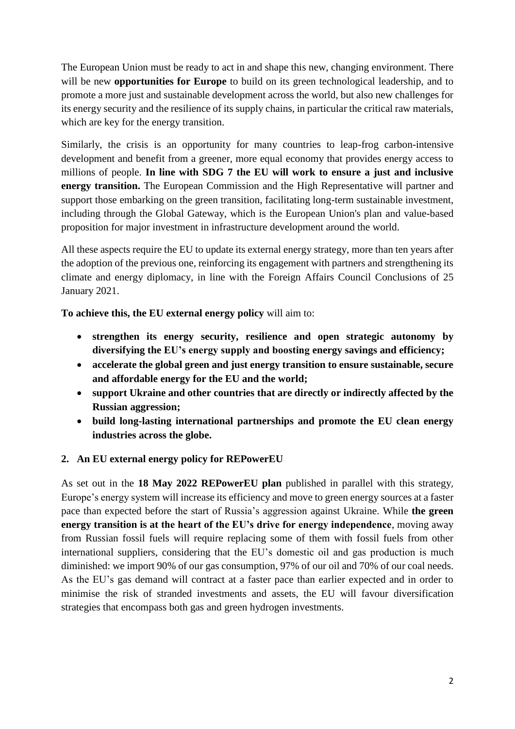The European Union must be ready to act in and shape this new, changing environment. There will be new **opportunities for Europe** to build on its green technological leadership, and to promote a more just and sustainable development across the world, but also new challenges for its energy security and the resilience of its supply chains, in particular the critical raw materials, which are key for the energy transition.

Similarly, the crisis is an opportunity for many countries to leap-frog carbon-intensive development and benefit from a greener, more equal economy that provides energy access to millions of people. **In line with SDG 7 the EU will work to ensure a just and inclusive energy transition.** The European Commission and the High Representative will partner and support those embarking on the green transition, facilitating long-term sustainable investment, including through the Global Gateway, which is the European Union's plan and value-based proposition for major investment in infrastructure development around the world.

All these aspects require the EU to update its external energy strategy, more than ten years after the adoption of the previous one, reinforcing its engagement with partners and strengthening its climate and energy diplomacy, in line with the Foreign Affairs Council Conclusions of 25 January 2021.

**To achieve this, the EU external energy policy** will aim to:

- **strengthen its energy security, resilience and open strategic autonomy by diversifying the EU's energy supply and boosting energy savings and efficiency;**
- **accelerate the global green and just energy transition to ensure sustainable, secure and affordable energy for the EU and the world;**
- **support Ukraine and other countries that are directly or indirectly affected by the Russian aggression;**
- **build long-lasting international partnerships and promote the EU clean energy industries across the globe.**

# **2. An EU external energy policy for REPowerEU**

As set out in the **18 May 2022 REPowerEU plan** published in parallel with this strategy, Europe's energy system will increase its efficiency and move to green energy sources at a faster pace than expected before the start of Russia's aggression against Ukraine. While **the green energy transition is at the heart of the EU's drive for energy independence**, moving away from Russian fossil fuels will require replacing some of them with fossil fuels from other international suppliers, considering that the EU's domestic oil and gas production is much diminished: we import 90% of our gas consumption, 97% of our oil and 70% of our coal needs. As the EU's gas demand will contract at a faster pace than earlier expected and in order to minimise the risk of stranded investments and assets, the EU will favour diversification strategies that encompass both gas and green hydrogen investments.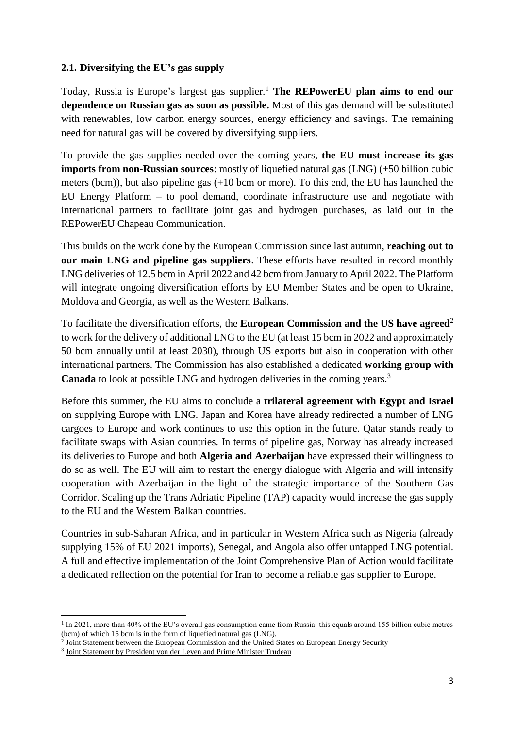#### **2.1. Diversifying the EU's gas supply**

Today, Russia is Europe's largest gas supplier.<sup>1</sup> The REPowerEU plan aims to end our **dependence on Russian gas as soon as possible.** Most of this gas demand will be substituted with renewables, low carbon energy sources, energy efficiency and savings. The remaining need for natural gas will be covered by diversifying suppliers.

To provide the gas supplies needed over the coming years, **the EU must increase its gas imports from non-Russian sources**: mostly of liquefied natural gas (LNG) (+50 billion cubic meters (bcm)), but also pipeline gas (+10 bcm or more). To this end, the EU has launched the EU Energy Platform – to pool demand, coordinate infrastructure use and negotiate with international partners to facilitate joint gas and hydrogen purchases, as laid out in the REPowerEU Chapeau Communication.

This builds on the work done by the European Commission since last autumn, **reaching out to our main LNG and pipeline gas suppliers**. These efforts have resulted in record monthly LNG deliveries of 12.5 bcm in April 2022 and 42 bcm from January to April 2022. The Platform will integrate ongoing diversification efforts by EU Member States and be open to Ukraine, Moldova and Georgia, as well as the Western Balkans.

To facilitate the diversification efforts, the **European Commission and the US have agreed**<sup>2</sup> to work for the delivery of additional LNG to the EU (at least 15 bcm in 2022 and approximately 50 bcm annually until at least 2030), through US exports but also in cooperation with other international partners. The Commission has also established a dedicated **working group with Canada** to look at possible LNG and hydrogen deliveries in the coming years.<sup>3</sup>

Before this summer, the EU aims to conclude a **trilateral agreement with Egypt and Israel** on supplying Europe with LNG. Japan and Korea have already redirected a number of LNG cargoes to Europe and work continues to use this option in the future. Qatar stands ready to facilitate swaps with Asian countries. In terms of pipeline gas, Norway has already increased its deliveries to Europe and both **Algeria and Azerbaijan** have expressed their willingness to do so as well. The EU will aim to restart the energy dialogue with Algeria and will intensify cooperation with Azerbaijan in the light of the strategic importance of the Southern Gas Corridor. Scaling up the Trans Adriatic Pipeline (TAP) capacity would increase the gas supply to the EU and the Western Balkan countries.

Countries in sub-Saharan Africa, and in particular in Western Africa such as Nigeria (already supplying 15% of EU 2021 imports), Senegal, and Angola also offer untapped LNG potential. A full and effective implementation of the Joint Comprehensive Plan of Action would facilitate a dedicated reflection on the potential for Iran to become a reliable gas supplier to Europe.

**<sup>.</sup>** <sup>1</sup> In 2021, more than 40% of the EU's overall gas consumption came from Russia: this equals around 155 billion cubic metres (bcm) of which 15 bcm is in the form of liquefied natural gas (LNG).

<sup>&</sup>lt;sup>2</sup> [Joint Statement between the European Commission and the United States on European Energy Security](https://ec.europa.eu/commission/presscorner/detail/en/STATEMENT_22_2041)

<sup>&</sup>lt;sup>3</sup> [Joint Statement by President von der Leyen and Prime Minister Trudeau](https://ec.europa.eu/commission/presscorner/detail/en/STATEMENT_22_1989)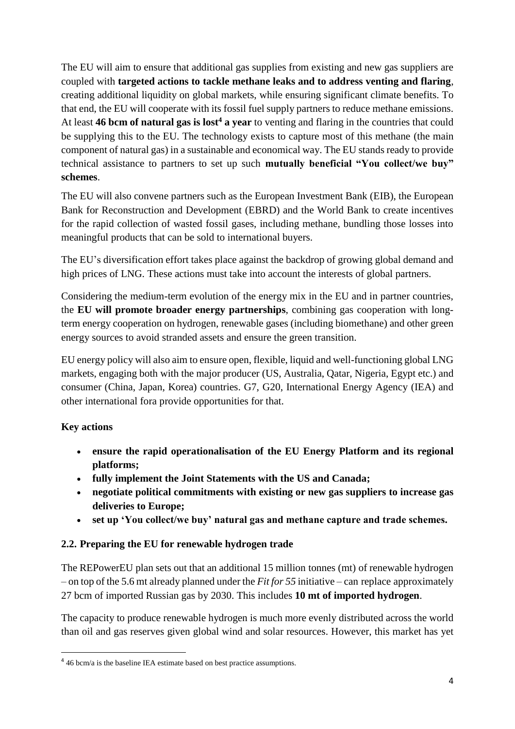The EU will aim to ensure that additional gas supplies from existing and new gas suppliers are coupled with **targeted actions to tackle methane leaks and to address venting and flaring**, creating additional liquidity on global markets, while ensuring significant climate benefits. To that end, the EU will cooperate with its fossil fuel supply partners to reduce methane emissions. At least **46 bcm of natural gas is lost<sup>4</sup> a year** to venting and flaring in the countries that could be supplying this to the EU. The technology exists to capture most of this methane (the main component of natural gas) in a sustainable and economical way. The EU stands ready to provide technical assistance to partners to set up such **mutually beneficial "You collect/we buy" schemes**.

The EU will also convene partners such as the European Investment Bank (EIB), the European Bank for Reconstruction and Development (EBRD) and the World Bank to create incentives for the rapid collection of wasted fossil gases, including methane, bundling those losses into meaningful products that can be sold to international buyers.

The EU's diversification effort takes place against the backdrop of growing global demand and high prices of LNG. These actions must take into account the interests of global partners.

Considering the medium-term evolution of the energy mix in the EU and in partner countries, the **EU will promote broader energy partnerships**, combining gas cooperation with longterm energy cooperation on hydrogen, renewable gases (including biomethane) and other green energy sources to avoid stranded assets and ensure the green transition.

EU energy policy will also aim to ensure open, flexible, liquid and well-functioning global LNG markets, engaging both with the major producer (US, Australia, Qatar, Nigeria, Egypt etc.) and consumer (China, Japan, Korea) countries. G7, G20, International Energy Agency (IEA) and other international fora provide opportunities for that.

# **Key actions**

1

- **ensure the rapid operationalisation of the EU Energy Platform and its regional platforms;**
- **fully implement the Joint Statements with the US and Canada;**
- **negotiate political commitments with existing or new gas suppliers to increase gas deliveries to Europe;**
- **set up 'You collect/we buy' natural gas and methane capture and trade schemes.**

# **2.2. Preparing the EU for renewable hydrogen trade**

The REPowerEU plan sets out that an additional 15 million tonnes (mt) of renewable hydrogen – on top of the 5.6 mt already planned under the *Fit for 55* initiative – can replace approximately 27 bcm of imported Russian gas by 2030. This includes **10 mt of imported hydrogen**.

The capacity to produce renewable hydrogen is much more evenly distributed across the world than oil and gas reserves given global wind and solar resources. However, this market has yet

<sup>&</sup>lt;sup>4</sup> 46 bcm/a is the baseline IEA estimate based on best practice assumptions.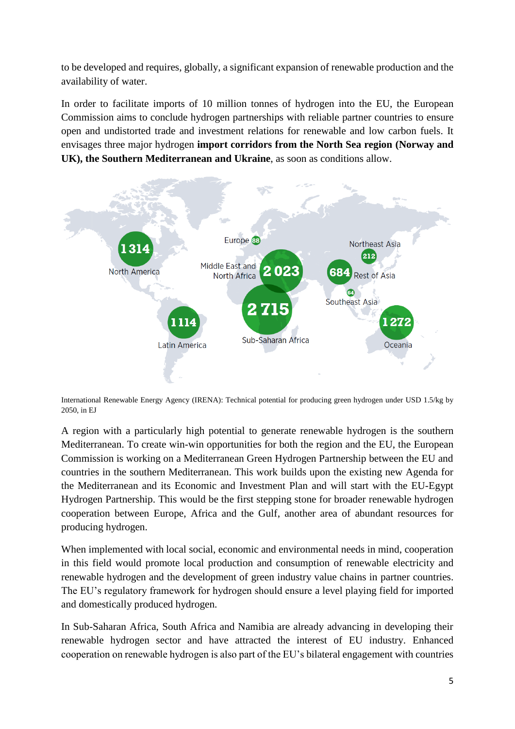to be developed and requires, globally, a significant expansion of renewable production and the availability of water.

In order to facilitate imports of 10 million tonnes of hydrogen into the EU, the European Commission aims to conclude hydrogen partnerships with reliable partner countries to ensure open and undistorted trade and investment relations for renewable and low carbon fuels. It envisages three major hydrogen **import corridors from the North Sea region (Norway and UK), the Southern Mediterranean and Ukraine**, as soon as conditions allow.



International Renewable Energy Agency (IRENA): Technical potential for producing green hydrogen under USD 1.5/kg by 2050, in EJ

A region with a particularly high potential to generate renewable hydrogen is the southern Mediterranean. To create win-win opportunities for both the region and the EU, the European Commission is working on a Mediterranean Green Hydrogen Partnership between the EU and countries in the southern Mediterranean. This work builds upon the existing new Agenda for the Mediterranean and its Economic and Investment Plan and will start with the EU-Egypt Hydrogen Partnership. This would be the first stepping stone for broader renewable hydrogen cooperation between Europe, Africa and the Gulf, another area of abundant resources for producing hydrogen.

When implemented with local social, economic and environmental needs in mind, cooperation in this field would promote local production and consumption of renewable electricity and renewable hydrogen and the development of green industry value chains in partner countries. The EU's regulatory framework for hydrogen should ensure a level playing field for imported and domestically produced hydrogen.

In Sub-Saharan Africa, South Africa and Namibia are already advancing in developing their renewable hydrogen sector and have attracted the interest of EU industry. Enhanced cooperation on renewable hydrogen is also part of the EU's bilateral engagement with countries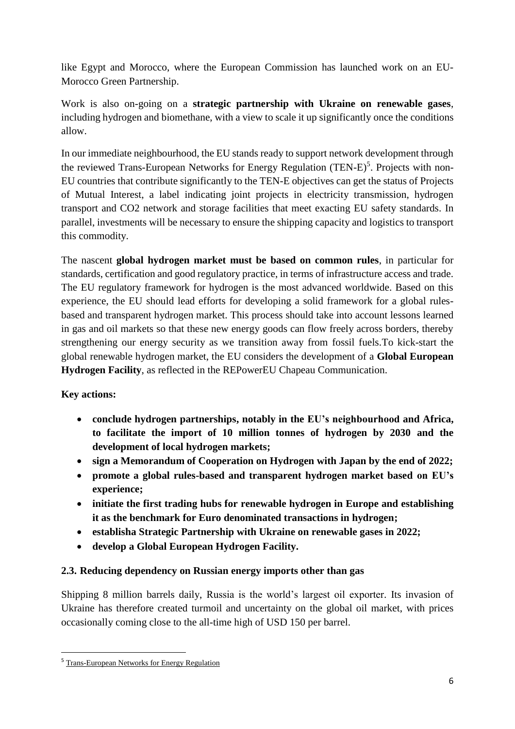like Egypt and Morocco, where the European Commission has launched work on an EU-Morocco Green Partnership.

Work is also on-going on a **strategic partnership with Ukraine on renewable gases**, including hydrogen and biomethane, with a view to scale it up significantly once the conditions allow.

In our immediate neighbourhood, the EU stands ready to support network development through the reviewed Trans-European Networks for Energy Regulation (TEN-E)<sup>5</sup>. Projects with non-EU countries that contribute significantly to the TEN-E objectives can get the status of Projects of Mutual Interest, a label indicating joint projects in electricity transmission, hydrogen transport and CO2 network and storage facilities that meet exacting EU safety standards. In parallel, investments will be necessary to ensure the shipping capacity and logistics to transport this commodity.

The nascent **global hydrogen market must be based on common rules**, in particular for standards, certification and good regulatory practice, in terms of infrastructure access and trade. The EU regulatory framework for hydrogen is the most advanced worldwide. Based on this experience, the EU should lead efforts for developing a solid framework for a global rulesbased and transparent hydrogen market. This process should take into account lessons learned in gas and oil markets so that these new energy goods can flow freely across borders, thereby strengthening our energy security as we transition away from fossil fuels.To kick-start the global renewable hydrogen market, the EU considers the development of a **Global European Hydrogen Facility**, as reflected in the REPowerEU Chapeau Communication.

## **Key actions:**

1

- **conclude hydrogen partnerships, notably in the EU's neighbourhood and Africa, to facilitate the import of 10 million tonnes of hydrogen by 2030 and the development of local hydrogen markets;**
- **sign a Memorandum of Cooperation on Hydrogen with Japan by the end of 2022;**
- **promote a global rules-based and transparent hydrogen market based on EU's experience;**
- **initiate the first trading hubs for renewable hydrogen in Europe and establishing it as the benchmark for Euro denominated transactions in hydrogen;**
- **establisha Strategic Partnership with Ukraine on renewable gases in 2022;**
- **develop a Global European Hydrogen Facility.**

## **2.3. Reducing dependency on Russian energy imports other than gas**

Shipping 8 million barrels daily, Russia is the world's largest oil exporter. Its invasion of Ukraine has therefore created turmoil and uncertainty on the global oil market, with prices occasionally coming close to the all-time high of USD 150 per barrel.

<sup>5</sup> [Trans-European Networks for Energy Regulation](https://energy.ec.europa.eu/topics/infrastructure/trans-european-networks-energy_en)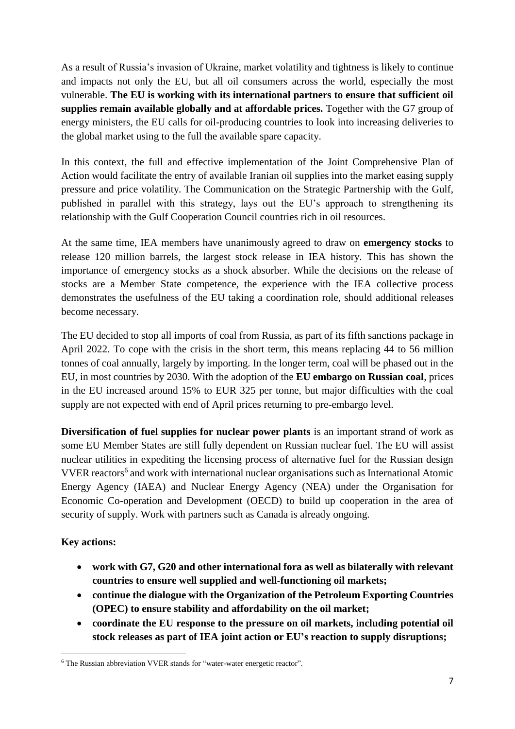As a result of Russia's invasion of Ukraine, market volatility and tightness is likely to continue and impacts not only the EU, but all oil consumers across the world, especially the most vulnerable. **The EU is working with its international partners to ensure that sufficient oil supplies remain available globally and at affordable prices.** Together with the G7 group of energy ministers, the EU calls for oil-producing countries to look into increasing deliveries to the global market using to the full the available spare capacity.

In this context, the full and effective implementation of the Joint Comprehensive Plan of Action would facilitate the entry of available Iranian oil supplies into the market easing supply pressure and price volatility. The Communication on the Strategic Partnership with the Gulf, published in parallel with this strategy, lays out the EU's approach to strengthening its relationship with the Gulf Cooperation Council countries rich in oil resources.

At the same time, IEA members have unanimously agreed to draw on **emergency stocks** to release 120 million barrels, the largest stock release in IEA history. This has shown the importance of emergency stocks as a shock absorber. While the decisions on the release of stocks are a Member State competence, the experience with the IEA collective process demonstrates the usefulness of the EU taking a coordination role, should additional releases become necessary.

The EU decided to stop all imports of coal from Russia, as part of its fifth sanctions package in April 2022. To cope with the crisis in the short term, this means replacing 44 to 56 million tonnes of coal annually, largely by importing. In the longer term, coal will be phased out in the EU, in most countries by 2030. With the adoption of the **EU embargo on Russian coal**, prices in the EU increased around 15% to EUR 325 per tonne, but major difficulties with the coal supply are not expected with end of April prices returning to pre-embargo level.

**Diversification of fuel supplies for nuclear power plants** is an important strand of work as some EU Member States are still fully dependent on Russian nuclear fuel. The EU will assist nuclear utilities in expediting the licensing process of alternative fuel for the Russian design VVER reactors<sup>6</sup> and work with international nuclear organisations such as International Atomic Energy Agency (IAEA) and Nuclear Energy Agency (NEA) under the Organisation for Economic Co-operation and Development (OECD) to build up cooperation in the area of security of supply. Work with partners such as Canada is already ongoing.

## **Key actions:**

- **work with G7, G20 and other international fora as well as bilaterally with relevant countries to ensure well supplied and well-functioning oil markets;**
- **continue the dialogue with the Organization of the Petroleum Exporting Countries (OPEC) to ensure stability and affordability on the oil market;**
- **coordinate the EU response to the pressure on oil markets, including potential oil stock releases as part of IEA joint action or EU's reaction to supply disruptions;**

**<sup>.</sup>** <sup>6</sup> The Russian abbreviation VVER stands for "water-water energetic reactor".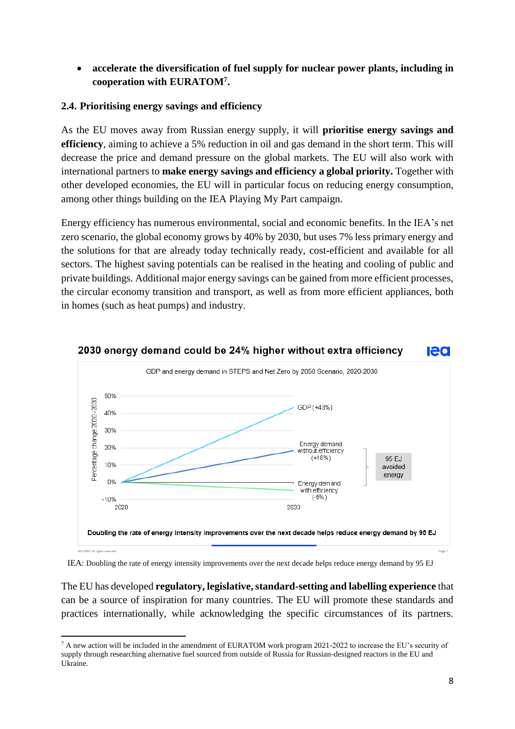## **accelerate the diversification of fuel supply for nuclear power plants, including in cooperation with EURATOM<sup>7</sup> .**

#### **2.4. Prioritising energy savings and efficiency**

As the EU moves away from Russian energy supply, it will **prioritise energy savings and efficiency**, aiming to achieve a 5% reduction in oil and gas demand in the short term. This will decrease the price and demand pressure on the global markets. The EU will also work with international partners to **make energy savings and efficiency a global priority.** Together with other developed economies, the EU will in particular focus on reducing energy consumption, among other things building on the IEA Playing My Part campaign.

Energy efficiency has numerous environmental, social and economic benefits. In the IEA's net zero scenario, the global economy grows by 40% by 2030, but uses 7% less primary energy and the solutions for that are already today technically ready, cost-efficient and available for all sectors. The highest saving potentials can be realised in the heating and cooling of public and private buildings. Additional major energy savings can be gained from more efficient processes, the circular economy transition and transport, as well as from more efficient appliances, both in homes (such as heat pumps) and industry.



#### 2030 energy demand could be 24% higher without extra efficiency led

IEA: Doubling the rate of energy intensity improvements over the next decade helps reduce energy demand by 95 EJ

The EU has developed **regulatory, legislative, standard-setting and labelling experience** that can be a source of inspiration for many countries. The EU will promote these standards and practices internationally, while acknowledging the specific circumstances of its partners.

**<sup>.</sup>** <sup>7</sup> A new action will be included in the amendment of EURATOM work program 2021-2022 to increase the EU's security of supply through researching alternative fuel sourced from outside of Russia for Russian-designed reactors in the EU and Ukraine.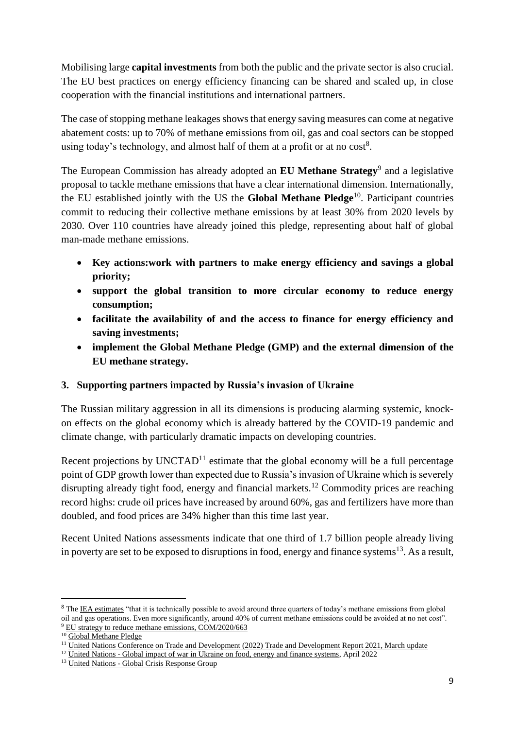Mobilising large **capital investments** from both the public and the private sector is also crucial. The EU best practices on energy efficiency financing can be shared and scaled up, in close cooperation with the financial institutions and international partners.

The case of stopping methane leakages shows that energy saving measures can come at negative abatement costs: up to 70% of methane emissions from oil, gas and coal sectors can be stopped using today's technology, and almost half of them at a profit or at no  $cost<sup>8</sup>$ .

The European Commission has already adopted an **EU Methane Strategy**<sup>9</sup> and a legislative proposal to tackle methane emissions that have a clear international dimension. Internationally, the EU established jointly with the US the **Global Methane Pledge**<sup>10</sup>. Participant countries commit to reducing their collective methane emissions by at least 30% from 2020 levels by 2030. Over 110 countries have already joined this pledge, representing about half of global man-made methane emissions.

- **Key actions:work with partners to make energy efficiency and savings a global priority;**
- **support the global transition to more circular economy to reduce energy consumption;**
- **facilitate the availability of and the access to finance for energy efficiency and saving investments;**
- **implement the Global Methane Pledge (GMP) and the external dimension of the EU methane strategy.**

## **3. Supporting partners impacted by Russia's invasion of Ukraine**

The Russian military aggression in all its dimensions is producing alarming systemic, knockon effects on the global economy which is already battered by the COVID-19 pandemic and climate change, with particularly dramatic impacts on developing countries.

Recent projections by  $UNCTAD<sup>11</sup>$  estimate that the global economy will be a full percentage point of GDP growth lower than expected due to Russia's invasion of Ukraine which is severely disrupting already tight food, energy and financial markets.<sup>12</sup> Commodity prices are reaching record highs: crude oil prices have increased by around 60%, gas and fertilizers have more than doubled, and food prices are 34% higher than this time last year.

Recent United Nations assessments indicate that one third of 1.7 billion people already living in poverty are set to be exposed to disruptions in food, energy and finance systems<sup>13</sup>. As a result,

 $\overline{a}$ 

<sup>&</sup>lt;sup>8</sup> Th[e IEA estimates](https://www.iea.org/reports/methane-tracker-2020) "that it is technically possible to avoid around three quarters of today's methane emissions from global oil and gas operations. Even more significantly, around 40% of current methane emissions could be avoided at no net cost". <sup>9</sup> [EU strategy to reduce methane emissions, COM/2020/663](https://ec.europa.eu/info/law/better-regulation/have-your-say/initiatives/12504-EU-methane-strategy_en)

<sup>&</sup>lt;sup>10</sup> [Global Methane Pledge](https://www.globalmethanepledge.org/)

<sup>&</sup>lt;sup>11</sup> [United Nations Conference on Trade and Development \(2022\) Trade and Development Report 2021, March update](https://www.google.com/url?sa=t&rct=j&q=&esrc=s&source=web&cd=&ved=2ahUKEwid0JLOwtT3AhWwgv0HHVBeAp0QFnoECAgQAQ&url=https%3A%2F%2Functad.org%2Fsystem%2Ffiles%2Fofficial-document%2Ftdr2021-update1_en.pdf&usg=AOvVaw1q0T_D_CdKLHEmOokFKnji)

<sup>&</sup>lt;sup>12</sup> United Nations - [Global impact of war in Ukraine on food, energy and finance systems,](https://www.google.com/url?sa=t&rct=j&q=&esrc=s&source=web&cd=&ved=2ahUKEwjS0fmvwtT3AhWUhv0HHVgGCacQFnoECAIQAQ&url=https%3A%2F%2Fnews.un.org%2Fpages%2Fwp-content%2Fuploads%2F2022%2F04%2FUN-GCRG-Brief-1.pdf&usg=AOvVaw0WPUlkW_Cqpd-2PB0HmR9y) April 2022

<sup>13</sup> United Nations - [Global Crisis Response Group](https://news.un.org/pages/global-crisis-response-group/)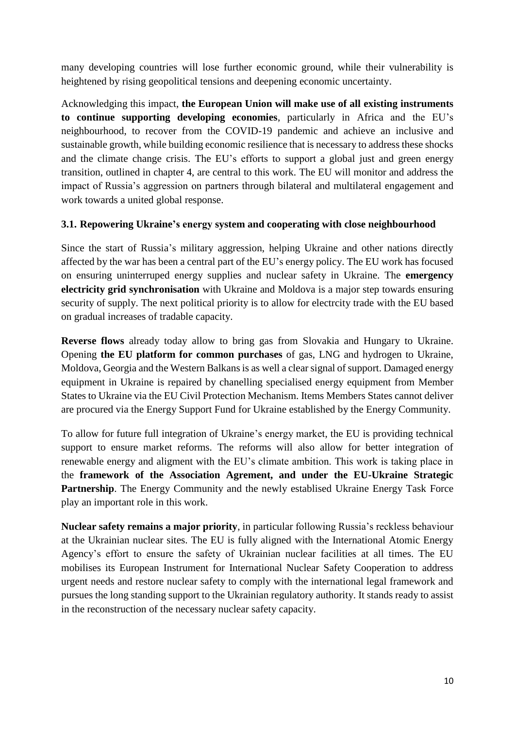many developing countries will lose further economic ground, while their vulnerability is heightened by rising geopolitical tensions and deepening economic uncertainty.

Acknowledging this impact, **the European Union will make use of all existing instruments to continue supporting developing economies**, particularly in Africa and the EU's neighbourhood, to recover from the COVID-19 pandemic and achieve an inclusive and sustainable growth, while building economic resilience that is necessary to address these shocks and the climate change crisis. The EU's efforts to support a global just and green energy transition, outlined in chapter 4, are central to this work. The EU will monitor and address the impact of Russia's aggression on partners through bilateral and multilateral engagement and work towards a united global response.

#### **3.1. Repowering Ukraine's energy system and cooperating with close neighbourhood**

Since the start of Russia's military aggression, helping Ukraine and other nations directly affected by the war has been a central part of the EU's energy policy. The EU work has focused on ensuring uninterruped energy supplies and nuclear safety in Ukraine. The **emergency electricity grid synchronisation** with Ukraine and Moldova is a major step towards ensuring security of supply. The next political priority is to allow for electrcity trade with the EU based on gradual increases of tradable capacity.

**Reverse flows** already today allow to bring gas from Slovakia and Hungary to Ukraine. Opening **the EU platform for common purchases** of gas, LNG and hydrogen to Ukraine, Moldova, Georgia and the Western Balkans is as well a clear signal of support. Damaged energy equipment in Ukraine is repaired by chanelling specialised energy equipment from Member States to Ukraine via the EU Civil Protection Mechanism. Items Members States cannot deliver are procured via the Energy Support Fund for Ukraine established by the Energy Community.

To allow for future full integration of Ukraine's energy market, the EU is providing technical support to ensure market reforms. The reforms will also allow for better integration of renewable energy and aligment with the EU's climate ambition. This work is taking place in the **framework of the Association Agrement, and under the EU-Ukraine Strategic Partnership**. The Energy Community and the newly establised Ukraine Energy Task Force play an important role in this work.

**Nuclear safety remains a major priority**, in particular following Russia's reckless behaviour at the Ukrainian nuclear sites. The EU is fully aligned with the International Atomic Energy Agency's effort to ensure the safety of Ukrainian nuclear facilities at all times. The EU mobilises its European Instrument for International Nuclear Safety Cooperation to address urgent needs and restore nuclear safety to comply with the international legal framework and pursues the long standing support to the Ukrainian regulatory authority. It stands ready to assist in the reconstruction of the necessary nuclear safety capacity.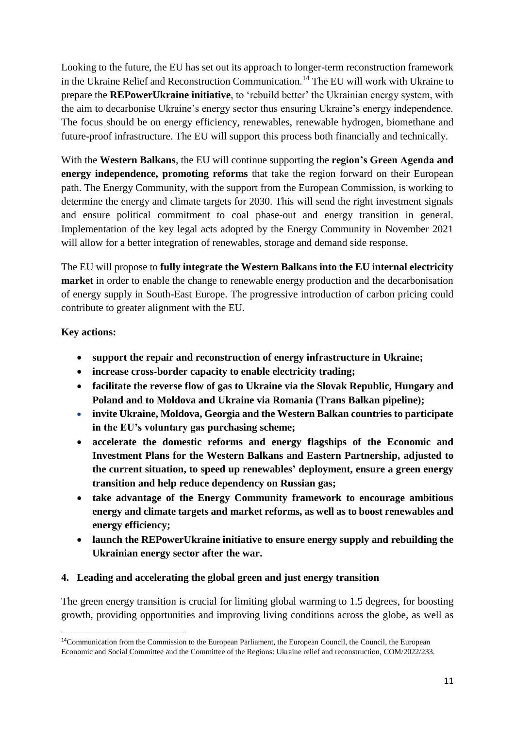Looking to the future, the EU has set out its approach to longer-term reconstruction framework in the Ukraine Relief and Reconstruction Communication.<sup>14</sup> The EU will work with Ukraine to prepare the **REPowerUkraine initiative**, to 'rebuild better' the Ukrainian energy system, with the aim to decarbonise Ukraine's energy sector thus ensuring Ukraine's energy independence. The focus should be on energy efficiency, renewables, renewable hydrogen, biomethane and future-proof infrastructure. The EU will support this process both financially and technically.

With the **Western Balkans**, the EU will continue supporting the **region's Green Agenda and energy independence, promoting reforms** that take the region forward on their European path. The Energy Community, with the support from the European Commission, is working to determine the energy and climate targets for 2030. This will send the right investment signals and ensure political commitment to coal phase-out and energy transition in general. Implementation of the key legal acts adopted by the Energy Community in November 2021 will allow for a better integration of renewables, storage and demand side response.

The EU will propose to **fully integrate the Western Balkans into the EU internal electricity market** in order to enable the change to renewable energy production and the decarbonisation of energy supply in South-East Europe. The progressive introduction of carbon pricing could contribute to greater alignment with the EU.

## **Key actions:**

**.** 

- **support the repair and reconstruction of energy infrastructure in Ukraine;**
- **increase cross-border capacity to enable electricity trading;**
- **facilitate the reverse flow of gas to Ukraine via the Slovak Republic, Hungary and Poland and to Moldova and Ukraine via Romania (Trans Balkan pipeline);**
- **invite Ukraine, Moldova, Georgia and the Western Balkan countries to participate in the EU's voluntary gas purchasing scheme;**
- **accelerate the domestic reforms and energy flagships of the Economic and Investment Plans for the Western Balkans and Eastern Partnership, adjusted to the current situation, to speed up renewables' deployment, ensure a green energy transition and help reduce dependency on Russian gas;**
- **take advantage of the Energy Community framework to encourage ambitious energy and climate targets and market reforms, as well as to boost renewables and energy efficiency;**
- **launch the REPowerUkraine initiative to ensure energy supply and rebuilding the Ukrainian energy sector after the war.**

## **4. Leading and accelerating the global green and just energy transition**

The green energy transition is crucial for limiting global warming to 1.5 degrees, for boosting growth, providing opportunities and improving living conditions across the globe, as well as

<sup>&</sup>lt;sup>14</sup>Communication from the Commission to the European Parliament, the European Council, the Council, the European Economic and Social Committee and the Committee of the Regions: Ukraine relief and reconstruction, COM/2022/233.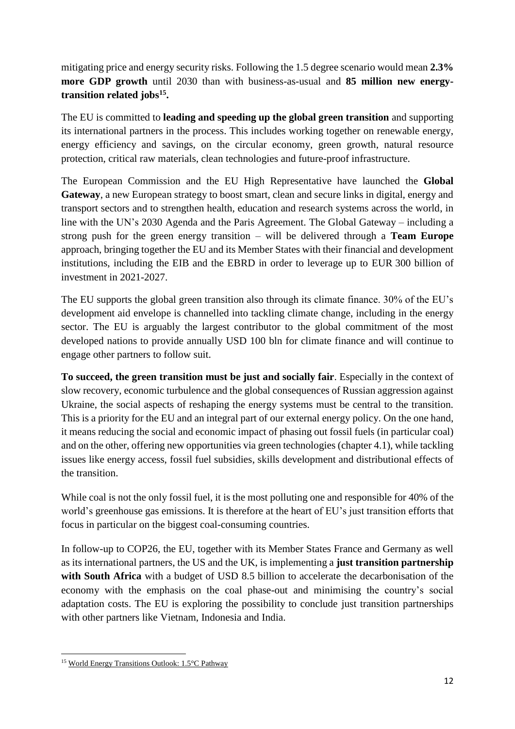mitigating price and energy security risks. Following the 1.5 degree scenario would mean **2.3% more GDP growth** until 2030 than with business-as-usual and **85 million new energytransition related jobs<sup>15</sup> .** 

The EU is committed to **leading and speeding up the global green transition** and supporting its international partners in the process. This includes working together on renewable energy, energy efficiency and savings, on the circular economy, green growth, natural resource protection, critical raw materials, clean technologies and future-proof infrastructure.

The European Commission and the EU High Representative have launched the **Global Gateway**, a new European strategy to boost smart, clean and secure links in digital, energy and transport sectors and to strengthen health, education and research systems across the world, in line with the UN's 2030 Agenda and the Paris Agreement. The Global Gateway – including a strong push for the green energy transition – will be delivered through a **Team Europe** approach, bringing together the EU and its Member States with their financial and development institutions, including the EIB and the EBRD in order to leverage up to EUR 300 billion of investment in 2021-2027.

The EU supports the global green transition also through its climate finance. 30% of the EU's development aid envelope is channelled into tackling climate change, including in the energy sector. The EU is arguably the largest contributor to the global commitment of the most developed nations to provide annually USD 100 bln for climate finance and will continue to engage other partners to follow suit.

**To succeed, the green transition must be just and socially fair**. Especially in the context of slow recovery, economic turbulence and the global consequences of Russian aggression against Ukraine, the social aspects of reshaping the energy systems must be central to the transition. This is a priority for the EU and an integral part of our external energy policy. On the one hand, it means reducing the social and economic impact of phasing out fossil fuels (in particular coal) and on the other, offering new opportunities via green technologies (chapter 4.1), while tackling issues like energy access, fossil fuel subsidies, skills development and distributional effects of the transition.

While coal is not the only fossil fuel, it is the most polluting one and responsible for 40% of the world's greenhouse gas emissions. It is therefore at the heart of EU's just transition efforts that focus in particular on the biggest coal-consuming countries.

In follow-up to COP26, the EU, together with its Member States France and Germany as well as its international partners, the US and the UK, is implementing a **just transition partnership with South Africa** with a budget of USD 8.5 billion to accelerate the decarbonisation of the economy with the emphasis on the coal phase-out and minimising the country's social adaptation costs. The EU is exploring the possibility to conclude just transition partnerships with other partners like Vietnam, Indonesia and India.

**<sup>.</sup>** <sup>15</sup> [World Energy Transitions Outlook: 1.5°C Pathway](https://www.irena.org/publications/2022/Mar/World-Energy-Transitions-Outlook-2022)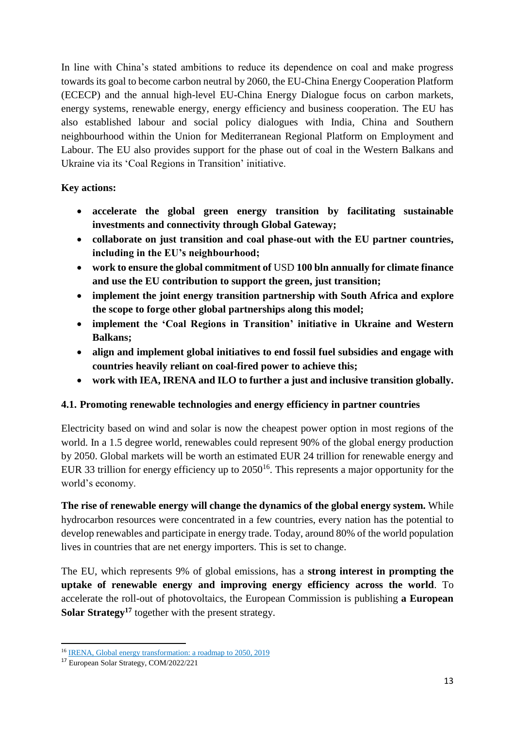In line with China's stated ambitions to reduce its dependence on coal and make progress towards its goal to become carbon neutral by 2060, the EU-China Energy Cooperation Platform (ECECP) and the annual high-level EU-China Energy Dialogue focus on carbon markets, energy systems, renewable energy, energy efficiency and business cooperation. The EU has also established labour and social policy dialogues with India, China and Southern neighbourhood within the Union for Mediterranean Regional Platform on Employment and Labour. The EU also provides support for the phase out of coal in the Western Balkans and Ukraine via its 'Coal Regions in Transition' initiative.

## **Key actions:**

- **accelerate the global green energy transition by facilitating sustainable investments and connectivity through Global Gateway;**
- **collaborate on just transition and coal phase-out with the EU partner countries, including in the EU's neighbourhood;**
- **work to ensure the global commitment of** USD **100 bln annually for climate finance and use the EU contribution to support the green, just transition;**
- **implement the joint energy transition partnership with South Africa and explore the scope to forge other global partnerships along this model;**
- **implement the 'Coal Regions in Transition' initiative in Ukraine and Western Balkans;**
- **align and implement global initiatives to end fossil fuel subsidies and engage with countries heavily reliant on coal-fired power to achieve this;**
- **work with IEA, IRENA and ILO to further a just and inclusive transition globally.**

# **4.1. Promoting renewable technologies and energy efficiency in partner countries**

Electricity based on wind and solar is now the cheapest power option in most regions of the world. In a 1.5 degree world, renewables could represent 90% of the global energy production by 2050. Global markets will be worth an estimated EUR 24 trillion for renewable energy and EUR 33 trillion for energy efficiency up to  $2050^{16}$ . This represents a major opportunity for the world's economy.

**The rise of renewable energy will change the dynamics of the global energy system.** While hydrocarbon resources were concentrated in a few countries, every nation has the potential to develop renewables and participate in energy trade. Today, around 80% of the world population lives in countries that are net energy importers. This is set to change.

The EU, which represents 9% of global emissions, has a **strong interest in prompting the uptake of renewable energy and improving energy efficiency across the world**. To accelerate the roll-out of photovoltaics, the European Commission is publishing **a European Solar Strategy<sup>17</sup>** together with the present strategy.

 $\overline{a}$ <sup>16</sup> [IRENA, Global energy transformation: a roadmap to 2050, 2019](https://www.irena.org/publications/2019/Apr/Global-energy-transformation-A-roadmap-to-2050-2019Edition)

<sup>17</sup> European Solar Strategy, COM/2022/221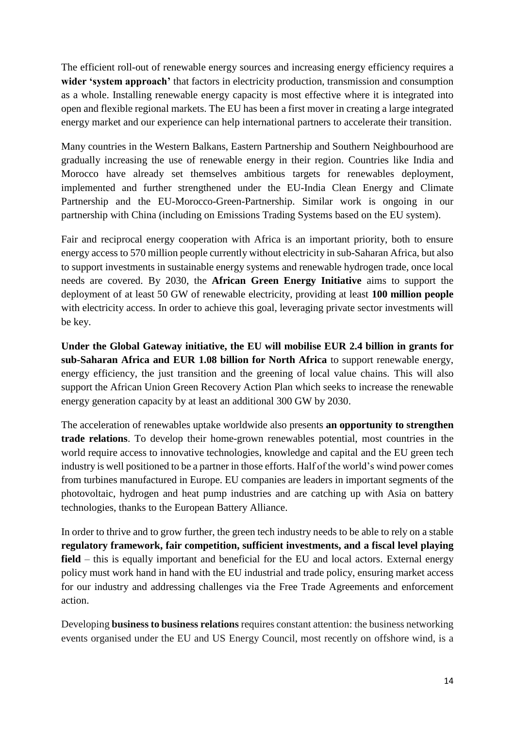The efficient roll-out of renewable energy sources and increasing energy efficiency requires a **wider 'system approach'** that factors in electricity production, transmission and consumption as a whole. Installing renewable energy capacity is most effective where it is integrated into open and flexible regional markets. The EU has been a first mover in creating a large integrated energy market and our experience can help international partners to accelerate their transition.

Many countries in the Western Balkans, Eastern Partnership and Southern Neighbourhood are gradually increasing the use of renewable energy in their region. Countries like India and Morocco have already set themselves ambitious targets for renewables deployment, implemented and further strengthened under the EU-India Clean Energy and Climate Partnership and the EU-Morocco-Green-Partnership. Similar work is ongoing in our partnership with China (including on Emissions Trading Systems based on the EU system).

Fair and reciprocal energy cooperation with Africa is an important priority, both to ensure energy access to 570 million people currently without electricity in sub-Saharan Africa, but also to support investments in sustainable energy systems and renewable hydrogen trade, once local needs are covered. By 2030, the **African Green Energy Initiative** aims to support the deployment of at least 50 GW of renewable electricity, providing at least **100 million people** with electricity access. In order to achieve this goal, leveraging private sector investments will be key.

**Under the Global Gateway initiative, the EU will mobilise EUR 2.4 billion in grants for sub-Saharan Africa and EUR 1.08 billion for North Africa** to support renewable energy, energy efficiency, the just transition and the greening of local value chains. This will also support the African Union Green Recovery Action Plan which seeks to increase the renewable energy generation capacity by at least an additional 300 GW by 2030.

The acceleration of renewables uptake worldwide also presents **an opportunity to strengthen trade relations**. To develop their home-grown renewables potential, most countries in the world require access to innovative technologies, knowledge and capital and the EU green tech industry is well positioned to be a partner in those efforts. Half of the world's wind power comes from turbines manufactured in Europe. EU companies are leaders in important segments of the photovoltaic, hydrogen and heat pump industries and are catching up with Asia on battery technologies, thanks to the European Battery Alliance.

In order to thrive and to grow further, the green tech industry needs to be able to rely on a stable **regulatory framework, fair competition, sufficient investments, and a fiscal level playing field** – this is equally important and beneficial for the EU and local actors. External energy policy must work hand in hand with the EU industrial and trade policy, ensuring market access for our industry and addressing challenges via the Free Trade Agreements and enforcement action.

Developing **business to business relations** requires constant attention: the business networking events organised under the EU and US Energy Council, most recently on offshore wind, is a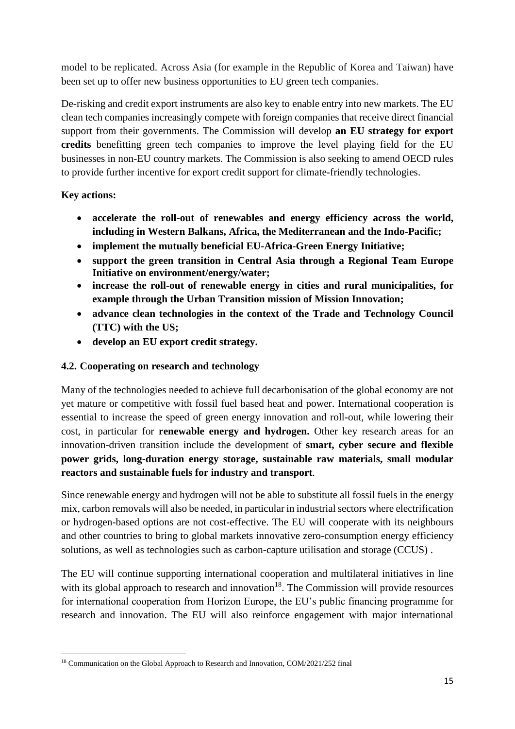model to be replicated. Across Asia (for example in the Republic of Korea and Taiwan) have been set up to offer new business opportunities to EU green tech companies.

De-risking and credit export instruments are also key to enable entry into new markets. The EU clean tech companies increasingly compete with foreign companies that receive direct financial support from their governments. The Commission will develop **an EU strategy for export credits** benefitting green tech companies to improve the level playing field for the EU businesses in non-EU country markets. The Commission is also seeking to amend OECD rules to provide further incentive for export credit support for climate-friendly technologies.

## **Key actions:**

- **accelerate the roll-out of renewables and energy efficiency across the world, including in Western Balkans, Africa, the Mediterranean and the Indo-Pacific;**
- **implement the mutually beneficial EU-Africa-Green Energy Initiative;**
- **support the green transition in Central Asia through a Regional Team Europe Initiative on environment/energy/water;**
- **increase the roll-out of renewable energy in cities and rural municipalities, for example through the Urban Transition mission of Mission Innovation;**
- **advance clean technologies in the context of the Trade and Technology Council (TTC) with the US;**
- **develop an EU export credit strategy.**

# **4.2. Cooperating on research and technology**

Many of the technologies needed to achieve full decarbonisation of the global economy are not yet mature or competitive with fossil fuel based heat and power. International cooperation is essential to increase the speed of green energy innovation and roll-out, while lowering their cost, in particular for **renewable energy and hydrogen.** Other key research areas for an innovation-driven transition include the development of **smart, cyber secure and flexible power grids, long-duration energy storage, sustainable raw materials, small modular reactors and sustainable fuels for industry and transport**.

Since renewable energy and hydrogen will not be able to substitute all fossil fuels in the energy mix, carbon removals will also be needed, in particular in industrial sectors where electrification or hydrogen-based options are not cost-effective. The EU will cooperate with its neighbours and other countries to bring to global markets innovative zero-consumption energy efficiency solutions, as well as technologies such as carbon-capture utilisation and storage (CCUS) .

The EU will continue supporting international cooperation and multilateral initiatives in line with its global approach to research and innovation $18$ . The Commission will provide resources for international cooperation from Horizon Europe, the EU's public financing programme for research and innovation. The EU will also reinforce engagement with major international

**<sup>.</sup>** <sup>18</sup> [Communication on the Global Approach to Research and Innovation, COM/2021/252 final](https://ec.europa.eu/info/files/communication-global-approach-research-and-innovation_en)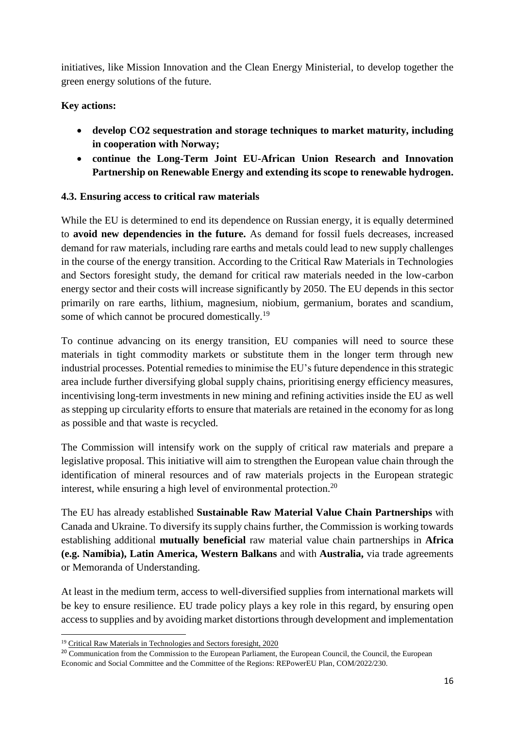initiatives, like Mission Innovation and the Clean Energy Ministerial, to develop together the green energy solutions of the future.

## **Key actions:**

- **develop CO2 sequestration and storage techniques to market maturity, including in cooperation with Norway;**
- **continue the Long-Term Joint EU-African Union Research and Innovation Partnership on Renewable Energy and extending its scope to renewable hydrogen.**

## **4.3. Ensuring access to critical raw materials**

While the EU is determined to end its dependence on Russian energy, it is equally determined to **avoid new dependencies in the future.** As demand for fossil fuels decreases, increased demand for raw materials, including rare earths and metals could lead to new supply challenges in the course of the energy transition. According to the Critical Raw Materials in Technologies and Sectors foresight study, the demand for critical raw materials needed in the low-carbon energy sector and their costs will increase significantly by 2050. The EU depends in this sector primarily on rare earths, lithium, magnesium, niobium, germanium, borates and scandium, some of which cannot be procured domestically.<sup>19</sup>

To continue advancing on its energy transition, EU companies will need to source these materials in tight commodity markets or substitute them in the longer term through new industrial processes. Potential remedies to minimise the EU's future dependence in this strategic area include further diversifying global supply chains, prioritising energy efficiency measures, incentivising long-term investments in new mining and refining activities inside the EU as well as stepping up circularity efforts to ensure that materials are retained in the economy for as long as possible and that waste is recycled.

The Commission will intensify work on the supply of critical raw materials and prepare a legislative proposal. This initiative will aim to strengthen the European value chain through the identification of mineral resources and of raw materials projects in the European strategic interest, while ensuring a high level of environmental protection.<sup>20</sup>

The EU has already established **Sustainable Raw Material Value Chain Partnerships** with Canada and Ukraine. To diversify its supply chains further, the Commission is working towards establishing additional **mutually beneficial** raw material value chain partnerships in **Africa (e.g. Namibia), Latin America, Western Balkans** and with **Australia,** via trade agreements or Memoranda of Understanding.

At least in the medium term, access to well-diversified supplies from international markets will be key to ensure resilience. EU trade policy plays a key role in this regard, by ensuring open access to supplies and by avoiding market distortions through development and implementation

**<sup>.</sup>** <sup>19</sup> [Critical Raw Materials in Technologies and Sectors foresight, 2020](https://ec.europa.eu/docsroom/documents/42881)

<sup>&</sup>lt;sup>20</sup> Communication from the Commission to the European Parliament, the European Council, the Council, the European Economic and Social Committee and the Committee of the Regions: REPowerEU Plan, COM/2022/230.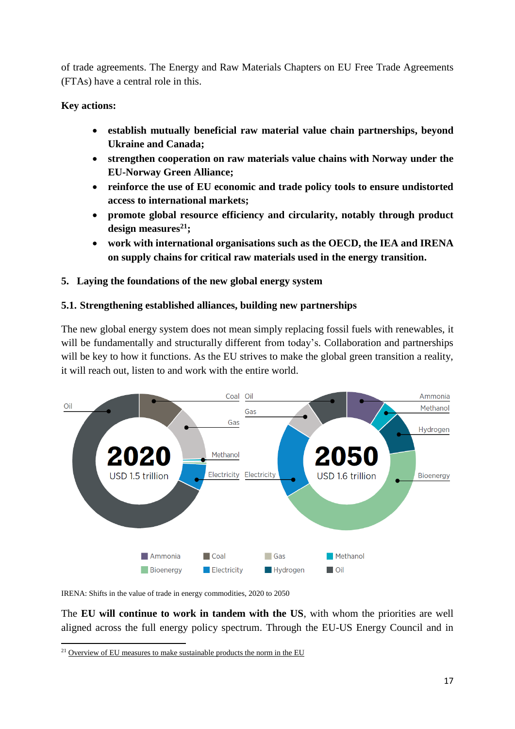of trade agreements. The Energy and Raw Materials Chapters on EU Free Trade Agreements (FTAs) have a central role in this.

## **Key actions:**

- **establish mutually beneficial raw material value chain partnerships, beyond Ukraine and Canada;**
- **strengthen cooperation on raw materials value chains with Norway under the EU-Norway Green Alliance;**
- **reinforce the use of EU economic and trade policy tools to ensure undistorted access to international markets;**
- **promote global resource efficiency and circularity, notably through product design measures<sup>21</sup>;**
- **work with international organisations such as the OECD, the IEA and IRENA on supply chains for critical raw materials used in the energy transition.**

## **5. Laying the foundations of the new global energy system**

#### **5.1. Strengthening established alliances, building new partnerships**

The new global energy system does not mean simply replacing fossil fuels with renewables, it will be fundamentally and structurally different from today's. Collaboration and partnerships will be key to how it functions. As the EU strives to make the global green transition a reality, it will reach out, listen to and work with the entire world.



IRENA: Shifts in the value of trade in energy commodities, 2020 to 2050

The **EU will continue to work in tandem with the US**, with whom the priorities are well aligned across the full energy policy spectrum. Through the EU-US Energy Council and in

 $\overline{a}$ <sup>21</sup> [Overview of EU measures to make sustainable products the norm in the EU](https://ec.europa.eu/info/energy-climate-change-environment/standards-tools-and-labels/products-labelling-rules-and-requirements/sustainable-products/about-sustainable-products_en)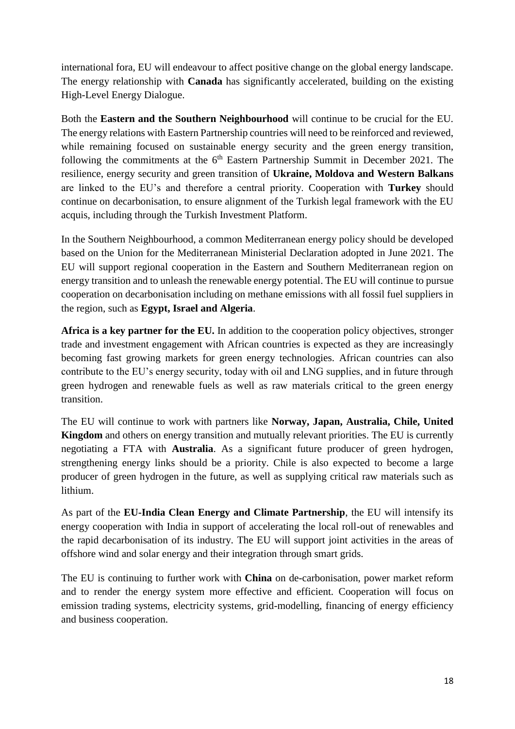international fora, EU will endeavour to affect positive change on the global energy landscape. The energy relationship with **Canada** has significantly accelerated, building on the existing High-Level Energy Dialogue.

Both the **Eastern and the Southern Neighbourhood** will continue to be crucial for the EU. The energy relations with Eastern Partnership countries will need to be reinforced and reviewed, while remaining focused on sustainable energy security and the green energy transition, following the commitments at the  $6<sup>th</sup>$  Eastern Partnership Summit in December 2021. The resilience, energy security and green transition of **Ukraine, Moldova and Western Balkans** are linked to the EU's and therefore a central priority. Cooperation with **Turkey** should continue on decarbonisation, to ensure alignment of the Turkish legal framework with the EU acquis, including through the Turkish Investment Platform.

In the Southern Neighbourhood, a common Mediterranean energy policy should be developed based on the Union for the Mediterranean Ministerial Declaration adopted in June 2021. The EU will support regional cooperation in the Eastern and Southern Mediterranean region on energy transition and to unleash the renewable energy potential. The EU will continue to pursue cooperation on decarbonisation including on methane emissions with all fossil fuel suppliers in the region, such as **Egypt, Israel and Algeria**.

**Africa is a key partner for the EU.** In addition to the cooperation policy objectives, stronger trade and investment engagement with African countries is expected as they are increasingly becoming fast growing markets for green energy technologies. African countries can also contribute to the EU's energy security, today with oil and LNG supplies, and in future through green hydrogen and renewable fuels as well as raw materials critical to the green energy transition.

The EU will continue to work with partners like **Norway, Japan, Australia, Chile, United Kingdom** and others on energy transition and mutually relevant priorities. The EU is currently negotiating a FTA with **Australia**. As a significant future producer of green hydrogen, strengthening energy links should be a priority. Chile is also expected to become a large producer of green hydrogen in the future, as well as supplying critical raw materials such as lithium.

As part of the **EU-India Clean Energy and Climate Partnership**, the EU will intensify its energy cooperation with India in support of accelerating the local roll-out of renewables and the rapid decarbonisation of its industry. The EU will support joint activities in the areas of offshore wind and solar energy and their integration through smart grids.

The EU is continuing to further work with **China** on de-carbonisation, power market reform and to render the energy system more effective and efficient. Cooperation will focus on emission trading systems, electricity systems, grid-modelling, financing of energy efficiency and business cooperation.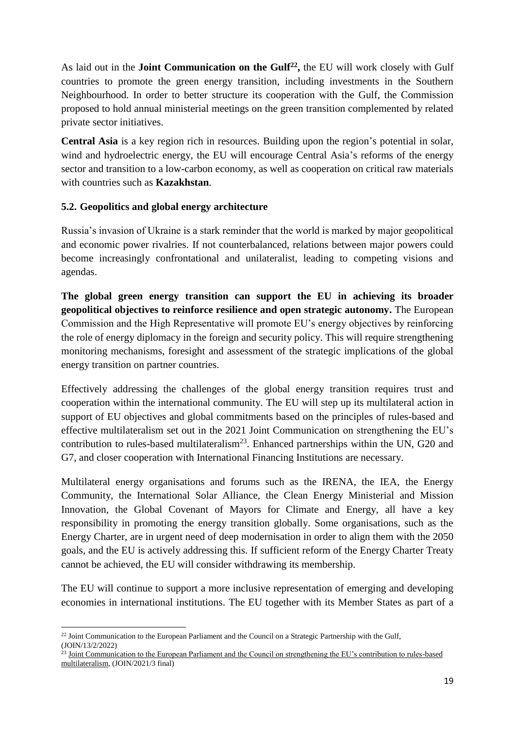As laid out in the **Joint Communication on the Gulf<sup>22</sup> ,** the EU will work closely with Gulf countries to promote the green energy transition, including investments in the Southern Neighbourhood. In order to better structure its cooperation with the Gulf, the Commission proposed to hold annual ministerial meetings on the green transition complemented by related private sector initiatives.

**Central Asia** is a key region rich in resources. Building upon the region's potential in solar, wind and hydroelectric energy, the EU will encourage Central Asia's reforms of the energy sector and transition to a low-carbon economy, as well as cooperation on critical raw materials with countries such as **Kazakhstan**.

## **5.2. Geopolitics and global energy architecture**

Russia's invasion of Ukraine is a stark reminder that the world is marked by major geopolitical and economic power rivalries. If not counterbalanced, relations between major powers could become increasingly confrontational and unilateralist, leading to competing visions and agendas.

**The global green energy transition can support the EU in achieving its broader geopolitical objectives to reinforce resilience and open strategic autonomy.** The European Commission and the High Representative will promote EU's energy objectives by reinforcing the role of energy diplomacy in the foreign and security policy. This will require strengthening monitoring mechanisms, foresight and assessment of the strategic implications of the global energy transition on partner countries.

Effectively addressing the challenges of the global energy transition requires trust and cooperation within the international community. The EU will step up its multilateral action in support of EU objectives and global commitments based on the principles of rules-based and effective multilateralism set out in the 2021 Joint Communication on strengthening the EU's contribution to rules-based multilateralism<sup>23</sup>. Enhanced partnerships within the UN, G20 and G7, and closer cooperation with International Financing Institutions are necessary.

Multilateral energy organisations and forums such as the IRENA, the IEA, the Energy Community, the International Solar Alliance, the Clean Energy Ministerial and Mission Innovation, the Global Covenant of Mayors for Climate and Energy, all have a key responsibility in promoting the energy transition globally. Some organisations, such as the Energy Charter, are in urgent need of deep modernisation in order to align them with the 2050 goals, and the EU is actively addressing this. If sufficient reform of the Energy Charter Treaty cannot be achieved, the EU will consider withdrawing its membership.

The EU will continue to support a more inclusive representation of emerging and developing economies in international institutions. The EU together with its Member States as part of a

<sup>1</sup>  $22$  Joint Communication to the European Parliament and the Council on a Strategic Partnership with the Gulf, (JOIN/13/2/2022)

 $^{23}$  Joint Communication to the European Parliament and the Council on strengthening the EU's contribution to rules-based [multilateralism,](https://eur-lex.europa.eu/legal-content/EN/ALL/?uri=CELEX:52021JC0003) (JOIN/2021/3 final)